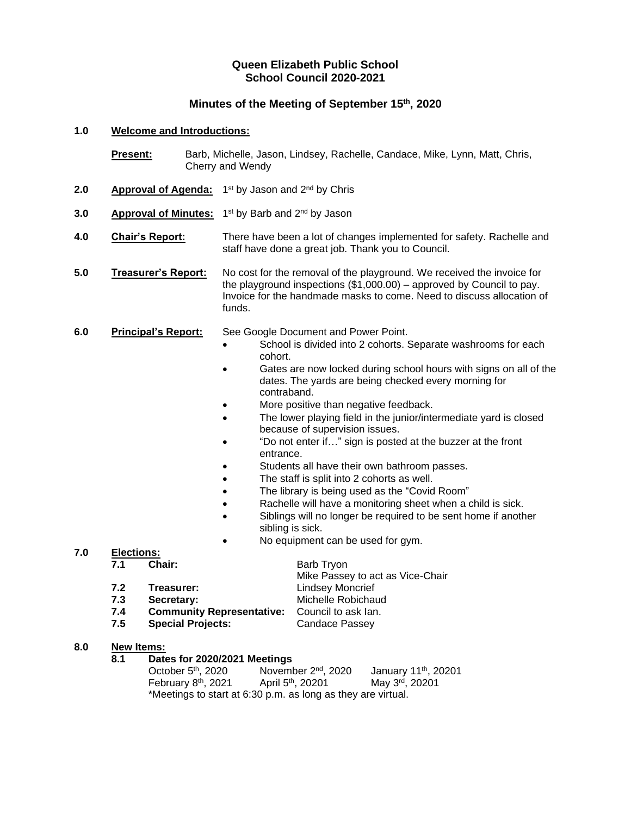# **Queen Elizabeth Public School School Council 2020-2021**

# **Minutes of the Meeting of September 15th , 2020**

#### **1.0 Welcome and Introductions:**

|     | <b>Present:</b>                    |  | Barb, Michelle, Jason, Lindsey, Rachelle, Candace, Mike, Lynn, Matt, Chris,<br>Cherry and Wendy                                                                                                                                                                                                                                                                                                                                                                                                                                                                                                                                                                                                                                                                                                                                   |  |  |
|-----|------------------------------------|--|-----------------------------------------------------------------------------------------------------------------------------------------------------------------------------------------------------------------------------------------------------------------------------------------------------------------------------------------------------------------------------------------------------------------------------------------------------------------------------------------------------------------------------------------------------------------------------------------------------------------------------------------------------------------------------------------------------------------------------------------------------------------------------------------------------------------------------------|--|--|
| 2.0 | <b>Approval of Agenda:</b>         |  | 1 <sup>st</sup> by Jason and 2 <sup>nd</sup> by Chris                                                                                                                                                                                                                                                                                                                                                                                                                                                                                                                                                                                                                                                                                                                                                                             |  |  |
| 3.0 | <b>Approval of Minutes:</b>        |  | 1 <sup>st</sup> by Barb and 2 <sup>nd</sup> by Jason                                                                                                                                                                                                                                                                                                                                                                                                                                                                                                                                                                                                                                                                                                                                                                              |  |  |
| 4.0 | <b>Chair's Report:</b>             |  | There have been a lot of changes implemented for safety. Rachelle and<br>staff have done a great job. Thank you to Council.                                                                                                                                                                                                                                                                                                                                                                                                                                                                                                                                                                                                                                                                                                       |  |  |
| 5.0 | <b>Treasurer's Report:</b>         |  | No cost for the removal of the playground. We received the invoice for<br>the playground inspections $(\$1,000.00)$ – approved by Council to pay.<br>Invoice for the handmade masks to come. Need to discuss allocation of<br>funds.                                                                                                                                                                                                                                                                                                                                                                                                                                                                                                                                                                                              |  |  |
| 6.0 | <b>Principal's Report:</b>         |  | See Google Document and Power Point.<br>School is divided into 2 cohorts. Separate washrooms for each<br>cohort.<br>Gates are now locked during school hours with signs on all of the<br>dates. The yards are being checked every morning for<br>contraband.<br>More positive than negative feedback.<br>The lower playing field in the junior/intermediate yard is closed<br>because of supervision issues.<br>"Do not enter if" sign is posted at the buzzer at the front<br>entrance.<br>Students all have their own bathroom passes.<br>The staff is split into 2 cohorts as well.<br>The library is being used as the "Covid Room"<br>Rachelle will have a monitoring sheet when a child is sick.<br>Siblings will no longer be required to be sent home if another<br>sibling is sick.<br>No equipment can be used for gym. |  |  |
| 7.0 | <b>Elections:</b><br>7.1<br>Chair: |  | <b>Barb Tryon</b>                                                                                                                                                                                                                                                                                                                                                                                                                                                                                                                                                                                                                                                                                                                                                                                                                 |  |  |
|     |                                    |  |                                                                                                                                                                                                                                                                                                                                                                                                                                                                                                                                                                                                                                                                                                                                                                                                                                   |  |  |

- Mike Passey to act as Vice-Chair **7.2 Treasurer:** Lindsey Moncrief
- **7.3 Secretary:** Michelle Robichaud<br>**7.4 Community Representative:** Council to ask lan.
- **7.4 Community Representative:** Council to ask Ian. **Special Projects:**
- **8.0 New Items:**
	- **8.1 Dates for 2020/2021 Meetings**

| October 5 <sup>th</sup> , 2020  | November 2 <sup>nd</sup> , 2020                              | January 11 <sup>th</sup> , 20201 |
|---------------------------------|--------------------------------------------------------------|----------------------------------|
| February 8 <sup>th</sup> , 2021 | April 5 <sup>th</sup> , 20201                                | May 3rd, 20201                   |
|                                 | *Meetings to start at 6:30 p.m. as long as they are virtual. |                                  |